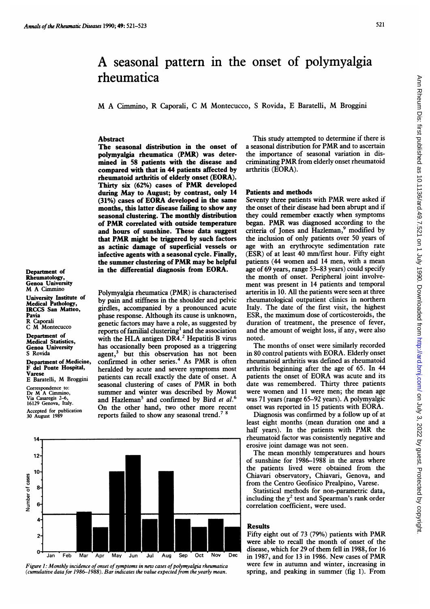Department of Rheumatology, Genoa University M A Cimmino

Pavia

Varese

University Institute of Medical Pathology, IRCCS San Matteo,

Department of Medicine, F del Ponte Hospital,

E Baratelli, M Broggini Correspondence to: Dr M A Cimmino, Via Casaregis 2-6, 16129 Genova, Italy. Accepted for publication 30 August 1989

R Caporali C M Montecucco Department of Medical Statistics, Genoa University S Rovida

# Ann Rheum Dis: first published as 10.1136/ard.49.7.521 on 1 July 1990. Downloaded from http://ard.bmj.com/ on July 3, 2022 by guest. Protected by copyright Ann Rheum Dis: first published as 10.1136/ard.49.7.521 on 1 July 1990. Downloaded from <http://ard.bmj.com/> on July 3, 2022 by guest. Protected by copyright.

# A seasonal pattern in the onset of polymyalgia rheumatica

M A Cimmino, R Caporali, <sup>C</sup> M Montecucco, <sup>S</sup> Rovida, <sup>E</sup> Baratelli, M Broggini

# Abstract

The seasonal distribution in the onset of polymyalgia rheumatica (PMR) was determined in 58 patients with the disease and compared with that in 44 patients affected by rheumatoid arthritis of elderly onset (EORA). Thirty six (62%) cases of PMR developed during May to August; by contrast, only 14 (31%) cases of EORA developed in the same months, this latter disease failing to show any seasonal clustering. The monthly distribution of PMR correlated with outside temperature and hours of sunshine. These data suggest that PMR might be triggered by such factors as actinic damage of superficial vessels or infective agents with a seasonal cycle. Finally, the summer clustering of PMR may be helpful in the differential diagnosis from EORA.

Polymyalgia rheumatica (PMR) is characterised by pain and stiffness in the shoulder and pelvic girdles, accompanied by a pronounced acute phase response. Although its cause is unknown, genetic factors may have a role, as suggested by reports of familial clustering<sup>1</sup> and the association with the HLA antigen DR4.<sup>2</sup> Hepatitis B virus has occasionally been proposed as a triggering agent,<sup>3</sup> but this observation has not been confirmed in other series.<sup>4</sup> As PMR is often heralded by acute and severe symptoms most patients can recall exactly the date of onset. A seasonal clustering of cases of PMR in both summer and winter was described by Mowat and Hazleman<sup>5</sup> and confirmed by Bird et  $al$ .<sup>6</sup> On the other hand, two other more recent reports failed to show any seasonal trend.7 <sup>8</sup>



Figure 1: Monthly incidence of onset of symptoms in new cases of polymyalgia rheumatica (cumulative data for 1986-1988). Bar indicates the value expected from the yearly mean.

This study attempted to determine if there is <sup>a</sup> seasonal distribution for PMR and to ascertain the importance of seasonal variation in discriminating PMR from elderly onset rheumatoid arthritis (EORA).

### Patients and methods

Seventy three patients with PMR were asked if the onset of their disease had been abrupt and if they could remember exactly when symptoms began. PMR was diagnosed according to the criteria of Jones and Hazleman,<sup>9</sup> modified by the inclusion of only patients over 50 years of age with an erythrocyte sedimentation rate (ESR) of at least 40 mm/first hour. Fifty eight patients (44 women and 14 men, with <sup>a</sup> mean age of 69 years, range 53-83 years) could specify the month of onset. Peripheral joint involvement was present in 14 patients and temporal arteritis in 10. All the patients were seen at three rheumatological outpatient clinics in northern Italy. The date of the first visit, the highest ESR, the maximum dose of corticosteroids, the duration of treatment, the presence of fever, and the amount of weight loss, if any, were also noted.

The months of onset were similarly recorded in 80 control patients with EORA. Elderly onset rheumatoid arthritis was defined as rheumatoid arthritis beginning after the age of 65. In 44 patients the onset of EORA was acute and its date was remembered. Thirty three patients were women and <sup>11</sup> were men; the mean age was <sup>71</sup> years (range 65-92 years). A polymyalgic onset was reported in <sup>15</sup> patients with EORA.

Diagnosis was confirmed by a follow up of at least eight months (mean duration one and a half years). In the patients with PMR the rheumatoid factor was consistently negative and erosive joint damage was not seen.

The mean monthly temperatures and hours of sunshine for 1986-1988 in the areas where the patients lived were obtained from the Chiavari observatory, Chiavari, Genova, and from the Centro Geofisico Prealpino, Varese.

Statistical methods for non-parametric data, including the  $\chi^2$  test and Spearman's rank order correlation coefficient, were used.

## **Results**

Fifty eight out of <sup>73</sup> (79%) patients with PMR were able to recall the month of onset of the disease, which for 29 of them fell in 1988, for 16 in 1987, and for <sup>13</sup> in 1986. New cases of PMR were few in autumn and winter, increasing in spring, and peaking in summer (fig 1). From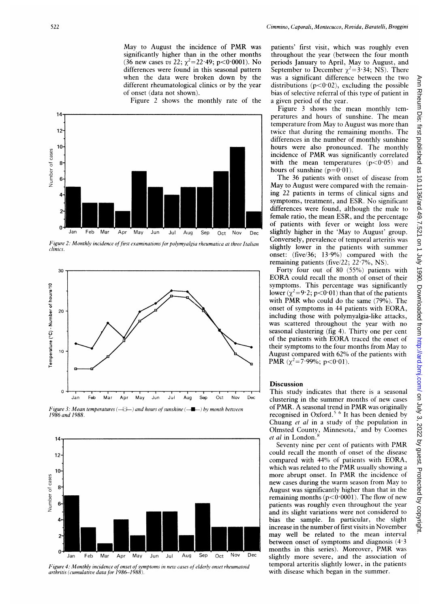May to August the incidence of PMR was significantly higher than in the other months (36 new cases vs 22;  $\chi^2$ =22·49; p<0·0001). No differences were found in this seasonal pattern when the data were broken down by the different rheumatological clinics or by the year of onset (data not shown).

Figure 2 shows the monthly rate of the



Figure 2: Monthly incidence of first examinations for polymyalgia rheumatica at three Italian clinics.



Figure 3: Mean temperatures  $(-1)$  and hours of sunshine  $(-$ - $\rightarrow$  by month between 1986 and 1988.



Figure 4: Monthly incidence of onset of symptoms in new cases of elderly onset rheumatoid arthritis (cumulative data for 1986-1988).

patients' first visit, which was roughly even throughout the year (between the four month periods January to April, May to August, and September to December  $\chi^2$ =3.34; NS). There was a significant difference between the two distributions  $(p<0.02)$ , excluding the possible bias of selective referral of this type of patient in a given period of the year.

Figure <sup>3</sup> shows the mean monthly temperatures and hours of sunshine. The mean temperature from May to August was more than twice that during the remaining months. The differences in the number of monthly sunshine hours were also pronounced. The monthly incidence of PMR was significantly correlated with the mean temperatures  $(p<0.05)$  and hours of sunshine  $(p=0.01)$ .

The 36 patients with onset of disease from May to August were compared with the remaining 22 patients in terms of clinical signs and symptoms, treatment, and ESR. No significant differences were found, although the male to female ratio, the mean ESR, and the percentage of patients with fever or weight loss were slightly higher in the 'May to August' group. Conversely, prevalence of temporal arteritis was slightly lower in the patients with summer onset: (five/36; 13.9%) compared with the remaining patients (five/22;  $22.7\%$ , NS).

Forty four out of 80 (55%) patients with EORA could recall the month of onset of their symptoms. This percentage was significantly lower ( $\chi^2$ =9·2; p<0·01) than that of the patients with PMR who could do the same (79%). The onset of symptoms in 44 patients with EORA, including those with polymyalgia-like attacks, was scattered throughout the year with no seasonal clustering (fig 4). Thirty one per cent of the patients with EORA traced the onset of their symptoms to the four months from May to August compared with 62% of the patients with PMR  $(\chi^2 = 7.99\%; p < 0.01)$ .

# Discussion

This study indicates that there is a seasonal clustering in the summer months of new cases of PMR. A seasonal trend in PMR was originally recognised in Oxford.<sup>5 6</sup> It has been denied by Chuang et al in <sup>a</sup> study of the population in Olmsted County, Minnesota,<sup>7</sup> and by Coomes et al in London.

Seventy nine per cent of patients with PMR could recall the month of onset of the disease compared with 44% of patients with EORA, which was related to the PMR usually showing <sup>a</sup> more abrupt onset. In PMR the incidence of new cases during the warm season from May to August was significantly higher than that in the remaining months ( $p < 0.0001$ ). The flow of new patients was roughly even throughout the year and its slight variations were not considered to bias the sample. In particular, the slight increase in the number of first visits in November may well be related to the mean interval between onset of symptoms and diagnosis  $(4.3)$ months in this series). Moreover, PMR was slightly more severe, and the association of temporal arteritis slightly lower, in the patients with disease which began in the summer.